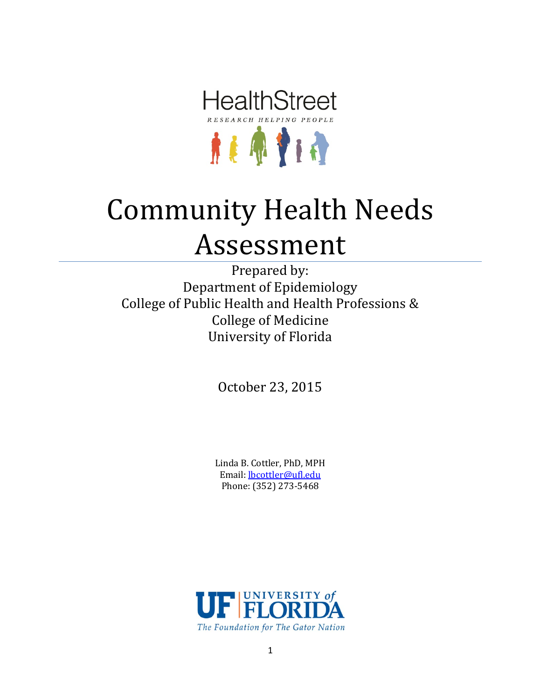

# Community Health Needs Assessment

Prepared by: Department of Epidemiology College of Public Health and Health Professions & College of Medicine University of Florida

October 23, 2015

Linda B. Cottler, PhD, MPH Email: [lbcottler@ufl.edu](mailto:lbcottler@ufl.edu) Phone: (352) 273-5468

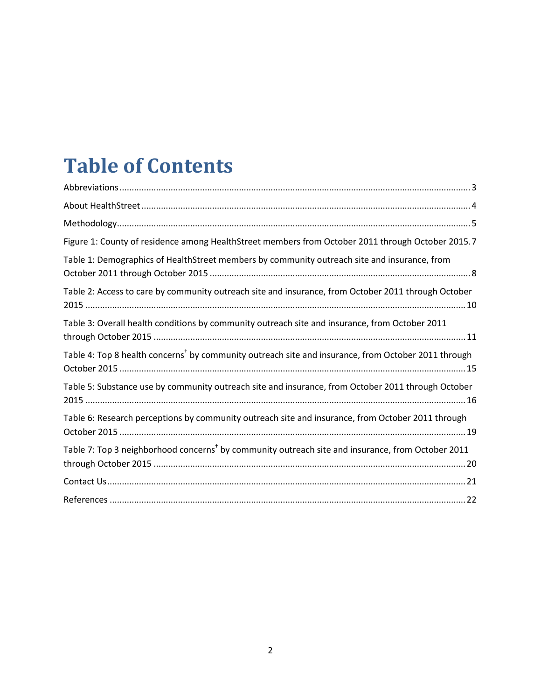# **Table of Contents**

| Figure 1: County of residence among HealthStreet members from October 2011 through October 2015.7               |
|-----------------------------------------------------------------------------------------------------------------|
| Table 1: Demographics of HealthStreet members by community outreach site and insurance, from                    |
| Table 2: Access to care by community outreach site and insurance, from October 2011 through October             |
| Table 3: Overall health conditions by community outreach site and insurance, from October 2011                  |
| Table 4: Top 8 health concerns <sup>†</sup> by community outreach site and insurance, from October 2011 through |
| Table 5: Substance use by community outreach site and insurance, from October 2011 through October              |
| Table 6: Research perceptions by community outreach site and insurance, from October 2011 through               |
| Table 7: Top 3 neighborhood concerns <sup>†</sup> by community outreach site and insurance, from October 2011   |
|                                                                                                                 |
|                                                                                                                 |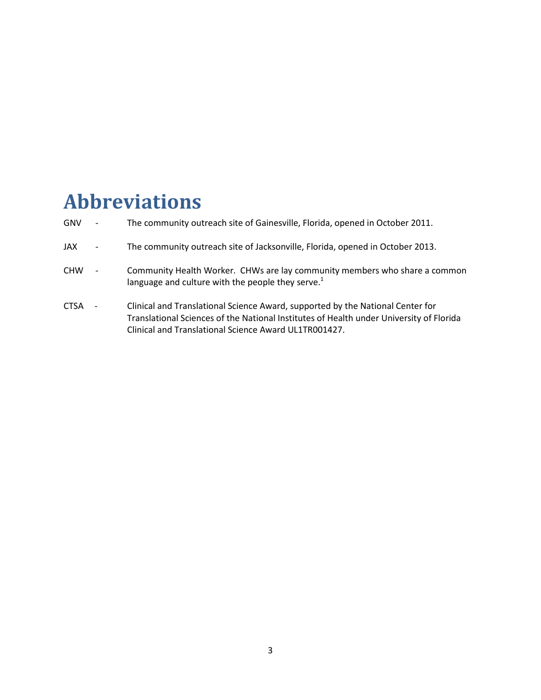### <span id="page-2-0"></span>**Abbreviations**

- GNV The community outreach site of Gainesville, Florida, opened in October 2011.
- JAX The community outreach site of Jacksonville, Florida, opened in October 2013.
- CHW Community Health Worker. CHWs are lay community members who share a common language and culture with the people they serve. $1$
- CTSA Clinical and Translational Science Award, supported by the National Center for Translational Sciences of the National Institutes of Health under University of Florida Clinical and Translational Science Award UL1TR001427.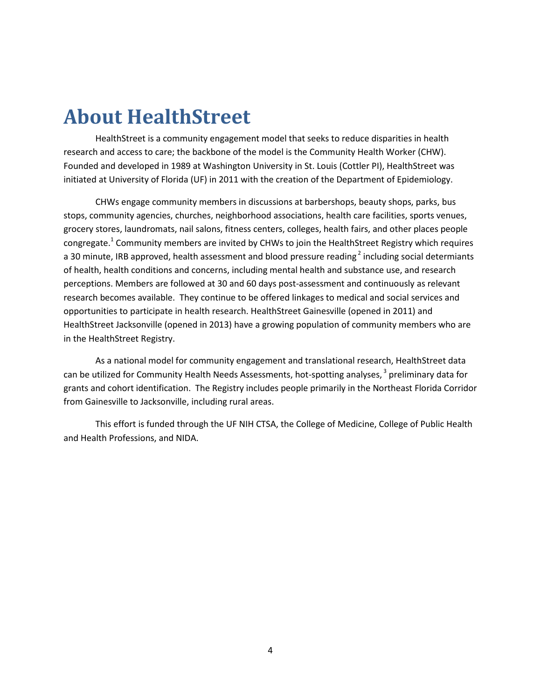### <span id="page-3-0"></span>**About HealthStreet**

HealthStreet is a community engagement model that seeks to reduce disparities in health research and access to care; the backbone of the model is the Community Health Worker (CHW). Founded and developed in 1989 at Washington University in St. Louis (Cottler PI), HealthStreet was initiated at University of Florida (UF) in 2011 with the creation of the Department of Epidemiology.

CHWs engage community members in discussions at barbershops, beauty shops, parks, bus stops, community agencies, churches, neighborhood associations, health care facilities, sports venues, grocery stores, laundromats, nail salons, fitness centers, colleges, health fairs, and other places people congregate.<sup>1</sup> Community members are invited by CHWs to join the HealthStreet Registry which requires a 30 minute, IRB approved, health assessment and blood pressure reading<sup>2</sup> including social determiants of health, health conditions and concerns, including mental health and substance use, and research perceptions. Members are followed at 30 and 60 days post-assessment and continuously as relevant research becomes available. They continue to be offered linkages to medical and social services and opportunities to participate in health research. HealthStreet Gainesville (opened in 2011) and HealthStreet Jacksonville (opened in 2013) have a growing population of community members who are in the HealthStreet Registry.

As a national model for community engagement and translational research, HealthStreet data can be utilized for Community Health Needs Assessments, hot-spotting analyses,<sup>3</sup> preliminary data for grants and cohort identification. The Registry includes people primarily in the Northeast Florida Corridor from Gainesville to Jacksonville, including rural areas.

This effort is funded through the UF NIH CTSA, the College of Medicine, College of Public Health and Health Professions, and NIDA.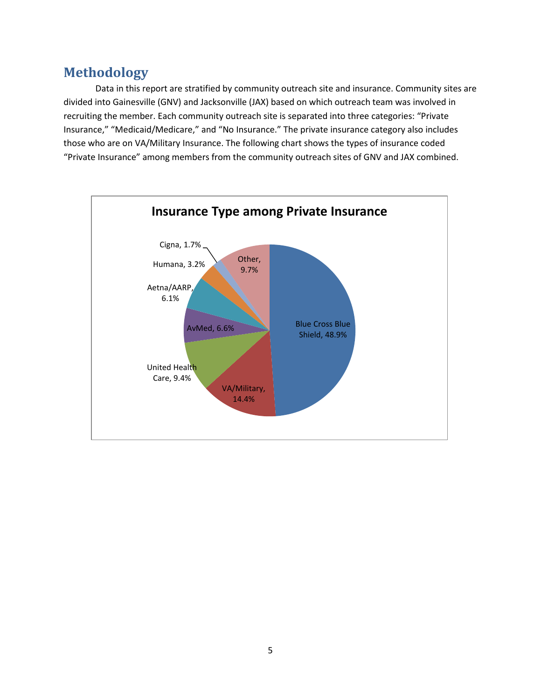#### <span id="page-4-0"></span>**Methodology**

Data in this report are stratified by community outreach site and insurance. Community sites are divided into Gainesville (GNV) and Jacksonville (JAX) based on which outreach team was involved in recruiting the member. Each community outreach site is separated into three categories: "Private Insurance," "Medicaid/Medicare," and "No Insurance." The private insurance category also includes those who are on VA/Military Insurance. The following chart shows the types of insurance coded "Private Insurance" among members from the community outreach sites of GNV and JAX combined.

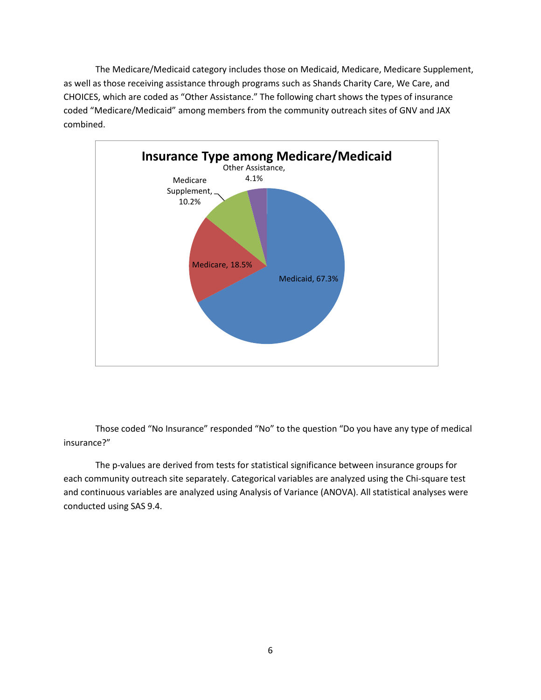The Medicare/Medicaid category includes those on Medicaid, Medicare, Medicare Supplement, as well as those receiving assistance through programs such as Shands Charity Care, We Care, and CHOICES, which are coded as "Other Assistance." The following chart shows the types of insurance coded "Medicare/Medicaid" among members from the community outreach sites of GNV and JAX combined.



Those coded "No Insurance" responded "No" to the question "Do you have any type of medical insurance?"

The p-values are derived from tests for statistical significance between insurance groups for each community outreach site separately. Categorical variables are analyzed using the Chi-square test and continuous variables are analyzed using Analysis of Variance (ANOVA). All statistical analyses were conducted using SAS 9.4.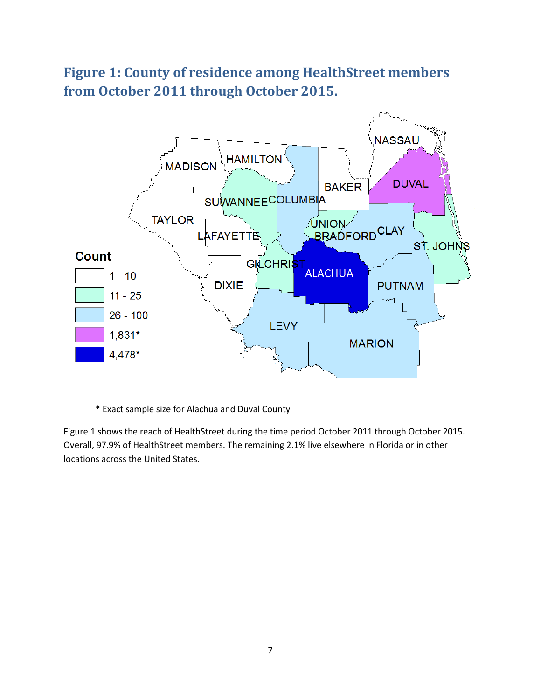#### <span id="page-6-0"></span>**Figure 1: County of residence among HealthStreet members from October 2011 through October 2015.**



\* Exact sample size for Alachua and Duval County

Figure 1 shows the reach of HealthStreet during the time period October 2011 through October 2015. Overall, 97.9% of HealthStreet members. The remaining 2.1% live elsewhere in Florida or in other locations across the United States.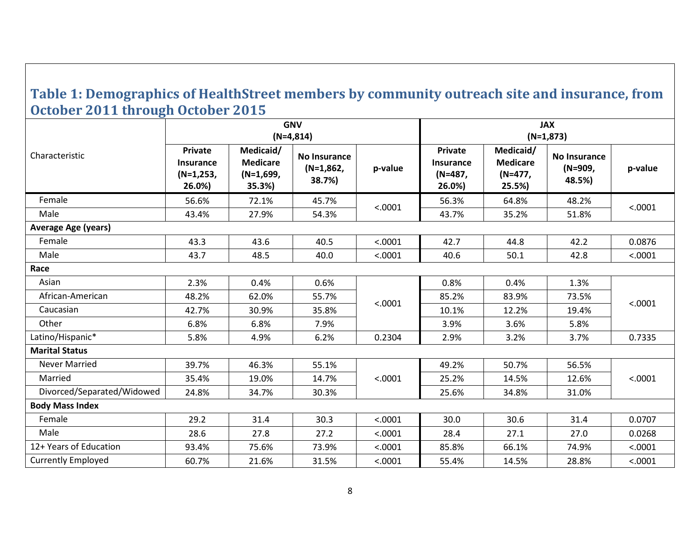#### **Table 1: Demographics of HealthStreet members by community outreach site and insurance, from October 2011 through October 2015**

<span id="page-7-0"></span>

|                            |                                                      |                                                       | <b>GNV</b><br>$(N=4,814)$             |         | <b>JAX</b><br>$(N=1,873)$                        |                                                   |                                   |         |
|----------------------------|------------------------------------------------------|-------------------------------------------------------|---------------------------------------|---------|--------------------------------------------------|---------------------------------------------------|-----------------------------------|---------|
| Characteristic             | Private<br><b>Insurance</b><br>$(N=1,253,$<br>26.0%) | Medicaid/<br><b>Medicare</b><br>$(N=1,699,$<br>35.3%) | No Insurance<br>$(N=1,862,$<br>38.7%) | p-value | Private<br><b>Insurance</b><br>(N=487,<br>26.0%) | Medicaid/<br><b>Medicare</b><br>(N=477,<br>25.5%) | No Insurance<br>(N=909,<br>48.5%) | p-value |
| Female                     | 56.6%                                                | 72.1%                                                 | 45.7%                                 | < .0001 | 56.3%                                            | 64.8%                                             | 48.2%                             | < .0001 |
| Male                       | 43.4%                                                | 27.9%                                                 | 54.3%                                 |         | 43.7%                                            | 35.2%                                             | 51.8%                             |         |
| <b>Average Age (years)</b> |                                                      |                                                       |                                       |         |                                                  |                                                   |                                   |         |
| Female                     | 43.3                                                 | 43.6                                                  | 40.5                                  | < .0001 | 42.7                                             | 44.8                                              | 42.2                              | 0.0876  |
| Male                       | 43.7                                                 | 48.5                                                  | 40.0                                  | < .0001 | 40.6                                             | 50.1                                              | 42.8                              | < .0001 |
| Race                       |                                                      |                                                       |                                       |         |                                                  |                                                   |                                   |         |
| Asian                      | 2.3%                                                 | 0.4%                                                  | 0.6%                                  |         | 0.8%                                             | 0.4%                                              | 1.3%                              |         |
| African-American           | 48.2%                                                | 62.0%                                                 | 55.7%                                 | < .0001 | 85.2%                                            | 83.9%                                             | 73.5%                             | < .0001 |
| Caucasian                  | 42.7%                                                | 30.9%                                                 | 35.8%                                 |         | 10.1%                                            | 12.2%                                             | 19.4%                             |         |
| Other                      | 6.8%                                                 | 6.8%                                                  | 7.9%                                  |         | 3.9%                                             | 3.6%                                              | 5.8%                              |         |
| Latino/Hispanic*           | 5.8%                                                 | 4.9%                                                  | 6.2%                                  | 0.2304  | 2.9%                                             | 3.2%                                              | 3.7%                              | 0.7335  |
| <b>Marital Status</b>      |                                                      |                                                       |                                       |         |                                                  |                                                   |                                   |         |
| <b>Never Married</b>       | 39.7%                                                | 46.3%                                                 | 55.1%                                 |         | 49.2%                                            | 50.7%                                             | 56.5%                             |         |
| Married                    | 35.4%                                                | 19.0%                                                 | 14.7%                                 | < .0001 | 25.2%                                            | 14.5%                                             | 12.6%                             | < .0001 |
| Divorced/Separated/Widowed | 24.8%                                                | 34.7%                                                 | 30.3%                                 |         | 25.6%                                            | 34.8%                                             | 31.0%                             |         |
| <b>Body Mass Index</b>     |                                                      |                                                       |                                       |         |                                                  |                                                   |                                   |         |
| Female                     | 29.2                                                 | 31.4                                                  | 30.3                                  | < .0001 | 30.0                                             | 30.6                                              | 31.4                              | 0.0707  |
| Male                       | 28.6                                                 | 27.8                                                  | 27.2                                  | < .0001 | 28.4                                             | 27.1                                              | 27.0                              | 0.0268  |
| 12+ Years of Education     | 93.4%                                                | 75.6%                                                 | 73.9%                                 | < .0001 | 85.8%                                            | 66.1%                                             | 74.9%                             | < .0001 |
| <b>Currently Employed</b>  | 60.7%                                                | 21.6%                                                 | 31.5%                                 | < .0001 | 55.4%                                            | 14.5%                                             | 28.8%                             | < .0001 |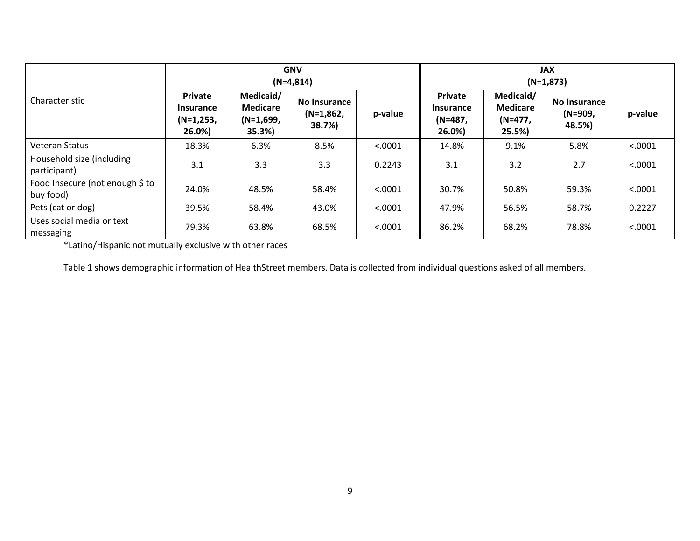|                                              | <b>GNV</b><br>$(N=4,814)$                            |                                                       |                                       |         | <b>JAX</b><br>$(N=1,873)$                        |                                                  |                                   |         |
|----------------------------------------------|------------------------------------------------------|-------------------------------------------------------|---------------------------------------|---------|--------------------------------------------------|--------------------------------------------------|-----------------------------------|---------|
| Characteristic                               | Private<br><b>Insurance</b><br>$(N=1,253,$<br>26.0%) | Medicaid/<br><b>Medicare</b><br>$(N=1,699)$<br>35.3%) | No Insurance<br>$(N=1,862,$<br>38.7%) | p-value | <b>Private</b><br>Insurance<br>(N=487,<br>26.0%) | Medicaid/<br><b>Medicare</b><br>(N=477,<br>25.5% | No Insurance<br>(N=909,<br>48.5%) | p-value |
| Veteran Status                               | 18.3%                                                | 6.3%                                                  | 8.5%                                  | < .0001 | 14.8%                                            | 9.1%                                             | 5.8%                              | < .0001 |
| Household size (including<br>participant)    | 3.1                                                  | 3.3                                                   | 3.3                                   | 0.2243  | 3.1                                              | 3.2                                              | 2.7                               | < .0001 |
| Food Insecure (not enough \$ to<br>buy food) | 24.0%                                                | 48.5%                                                 | 58.4%                                 | < .0001 | 30.7%                                            | 50.8%                                            | 59.3%                             | < .0001 |
| Pets (cat or dog)                            | 39.5%                                                | 58.4%                                                 | 43.0%                                 | < .0001 | 47.9%                                            | 56.5%                                            | 58.7%                             | 0.2227  |
| Uses social media or text<br>messaging       | 79.3%                                                | 63.8%                                                 | 68.5%                                 | < .0001 | 86.2%                                            | 68.2%                                            | 78.8%                             | < .0001 |

\*Latino/Hispanic not mutually exclusive with other races

Table 1 shows demographic information of HealthStreet members. Data is collected from individual questions asked of all members.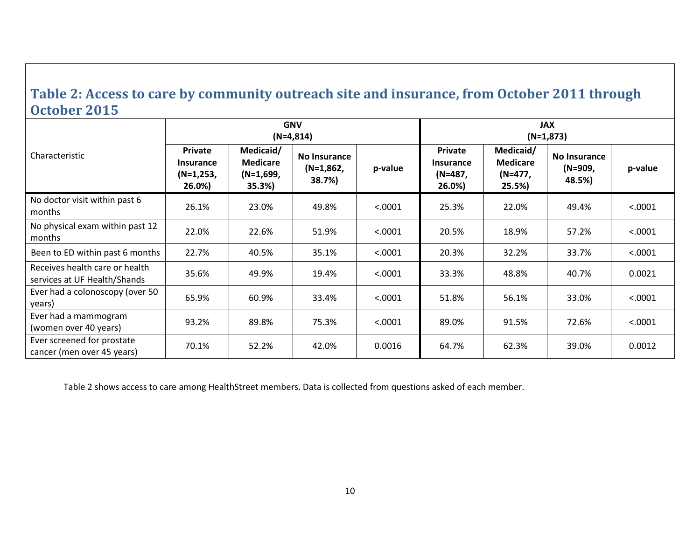#### **Table 2: Access to care by community outreach site and insurance, from October 2011 through October 2015**

<span id="page-9-0"></span>

|                                                                |                                                           |                                                     | <b>GNV</b><br>$(N=4,814)$             |          | <b>JAX</b><br>$(N=1,873)$                        |                                                  |                                   |         |
|----------------------------------------------------------------|-----------------------------------------------------------|-----------------------------------------------------|---------------------------------------|----------|--------------------------------------------------|--------------------------------------------------|-----------------------------------|---------|
| Characteristic                                                 | <b>Private</b><br><b>Insurance</b><br>(N=1,253,<br>26.0%) | Medicaid/<br><b>Medicare</b><br>(N=1,699,<br>35.3%) | No Insurance<br>$(N=1,862,$<br>38.7%) | p-value  | Private<br><b>Insurance</b><br>(N=487,<br>26.0%) | Medicaid/<br><b>Medicare</b><br>(N=477,<br>25.5% | No Insurance<br>(N=909,<br>48.5%) | p-value |
| No doctor visit within past 6<br>months                        | 26.1%                                                     | 23.0%                                               | 49.8%                                 | < .0001  | 25.3%                                            | 22.0%                                            | 49.4%                             | < .0001 |
| No physical exam within past 12<br>months                      | 22.0%                                                     | 22.6%                                               | 51.9%                                 | < .0001  | 20.5%                                            | 18.9%                                            | 57.2%                             | < .0001 |
| Been to ED within past 6 months                                | 22.7%                                                     | 40.5%                                               | 35.1%                                 | < .0001  | 20.3%                                            | 32.2%                                            | 33.7%                             | < .0001 |
| Receives health care or health<br>services at UF Health/Shands | 35.6%                                                     | 49.9%                                               | 19.4%                                 | < 0.0001 | 33.3%                                            | 48.8%                                            | 40.7%                             | 0.0021  |
| Ever had a colonoscopy (over 50<br>years)                      | 65.9%                                                     | 60.9%                                               | 33.4%                                 | < .0001  | 51.8%                                            | 56.1%                                            | 33.0%                             | < .0001 |
| Ever had a mammogram<br>(women over 40 years)                  | 93.2%                                                     | 89.8%                                               | 75.3%                                 | < .0001  | 89.0%                                            | 91.5%                                            | 72.6%                             | < .0001 |
| Ever screened for prostate<br>cancer (men over 45 years)       | 70.1%                                                     | 52.2%                                               | 42.0%                                 | 0.0016   | 64.7%                                            | 62.3%                                            | 39.0%                             | 0.0012  |

Table 2 shows access to care among HealthStreet members. Data is collected from questions asked of each member.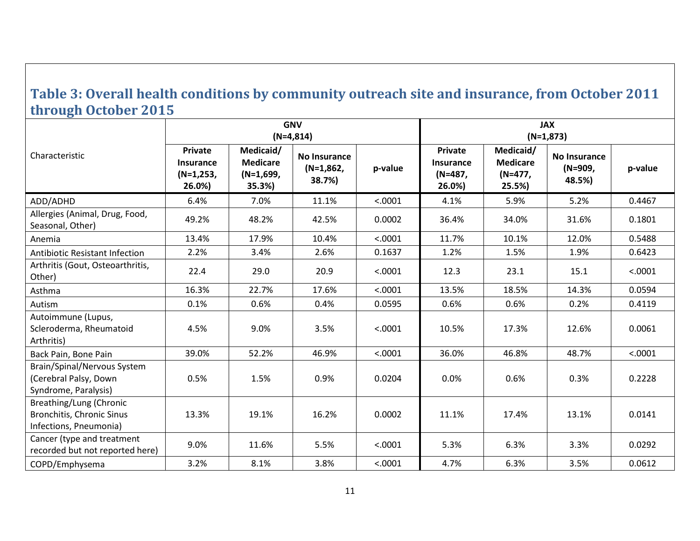#### **Table 3: Overall health conditions by community outreach site and insurance, from October 2011 through October 2015**

<span id="page-10-0"></span>

|                                                                                       |                                                             |                                                       | <b>GNV</b><br>$(N=4,814)$                    |         | <b>JAX</b><br>$(N=1,873)$                          |                                                   |                                   |         |  |
|---------------------------------------------------------------------------------------|-------------------------------------------------------------|-------------------------------------------------------|----------------------------------------------|---------|----------------------------------------------------|---------------------------------------------------|-----------------------------------|---------|--|
| Characteristic                                                                        | <b>Private</b><br><b>Insurance</b><br>$(N=1,253,$<br>26.0%) | Medicaid/<br><b>Medicare</b><br>$(N=1,699,$<br>35.3%) | <b>No Insurance</b><br>$(N=1,862,$<br>38.7%) | p-value | Private<br><b>Insurance</b><br>$(N=487,$<br>26.0%) | Medicaid/<br><b>Medicare</b><br>(N=477,<br>25.5%) | No Insurance<br>(N=909,<br>48.5%) | p-value |  |
| ADD/ADHD                                                                              | 6.4%                                                        | 7.0%                                                  | 11.1%                                        | < .0001 | 4.1%                                               | 5.9%                                              | 5.2%                              | 0.4467  |  |
| Allergies (Animal, Drug, Food,<br>Seasonal, Other)                                    | 49.2%                                                       | 48.2%                                                 | 42.5%                                        | 0.0002  | 36.4%                                              | 34.0%                                             | 31.6%                             | 0.1801  |  |
| Anemia                                                                                | 13.4%                                                       | 17.9%                                                 | 10.4%                                        | < .0001 | 11.7%                                              | 10.1%                                             | 12.0%                             | 0.5488  |  |
| <b>Antibiotic Resistant Infection</b>                                                 | 2.2%                                                        | 3.4%                                                  | 2.6%                                         | 0.1637  | 1.2%                                               | 1.5%                                              | 1.9%                              | 0.6423  |  |
| Arthritis (Gout, Osteoarthritis,<br>Other)                                            | 22.4                                                        | 29.0                                                  | 20.9                                         | < .0001 | 12.3                                               | 23.1                                              | 15.1                              | < .0001 |  |
| Asthma                                                                                | 16.3%                                                       | 22.7%                                                 | 17.6%                                        | < .0001 | 13.5%                                              | 18.5%                                             | 14.3%                             | 0.0594  |  |
| Autism                                                                                | 0.1%                                                        | 0.6%                                                  | 0.4%                                         | 0.0595  | 0.6%                                               | 0.6%                                              | 0.2%                              | 0.4119  |  |
| Autoimmune (Lupus,<br>Scleroderma, Rheumatoid<br>Arthritis)                           | 4.5%                                                        | 9.0%                                                  | 3.5%                                         | < .0001 | 10.5%                                              | 17.3%                                             | 12.6%                             | 0.0061  |  |
| Back Pain, Bone Pain                                                                  | 39.0%                                                       | 52.2%                                                 | 46.9%                                        | < .0001 | 36.0%                                              | 46.8%                                             | 48.7%                             | < .0001 |  |
| <b>Brain/Spinal/Nervous System</b><br>(Cerebral Palsy, Down<br>Syndrome, Paralysis)   | 0.5%                                                        | 1.5%                                                  | 0.9%                                         | 0.0204  | 0.0%                                               | 0.6%                                              | 0.3%                              | 0.2228  |  |
| Breathing/Lung (Chronic<br><b>Bronchitis, Chronic Sinus</b><br>Infections, Pneumonia) | 13.3%                                                       | 19.1%                                                 | 16.2%                                        | 0.0002  | 11.1%                                              | 17.4%                                             | 13.1%                             | 0.0141  |  |
| Cancer (type and treatment<br>recorded but not reported here)                         | 9.0%                                                        | 11.6%                                                 | 5.5%                                         | < .0001 | 5.3%                                               | 6.3%                                              | 3.3%                              | 0.0292  |  |
| COPD/Emphysema                                                                        | 3.2%                                                        | 8.1%                                                  | 3.8%                                         | < .0001 | 4.7%                                               | 6.3%                                              | 3.5%                              | 0.0612  |  |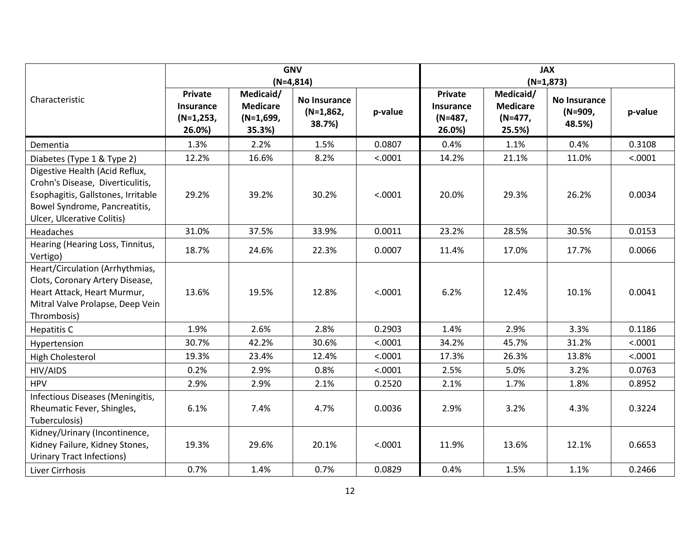|                                                                                                                                                                         |                                                      |                                                       | <b>GNV</b><br>$(N=4,814)$             |         | <b>JAX</b><br>$(N=1,873)$                               |                                                   |                                   |         |
|-------------------------------------------------------------------------------------------------------------------------------------------------------------------------|------------------------------------------------------|-------------------------------------------------------|---------------------------------------|---------|---------------------------------------------------------|---------------------------------------------------|-----------------------------------|---------|
| Characteristic                                                                                                                                                          | <b>Private</b><br>Insurance<br>$(N=1,253,$<br>26.0%) | Medicaid/<br><b>Medicare</b><br>$(N=1,699,$<br>35.3%) | No Insurance<br>$(N=1,862,$<br>38.7%) | p-value | <b>Private</b><br><b>Insurance</b><br>(N=487,<br>26.0%) | Medicaid/<br><b>Medicare</b><br>(N=477,<br>25.5%) | No Insurance<br>(N=909,<br>48.5%) | p-value |
| Dementia                                                                                                                                                                | 1.3%                                                 | 2.2%                                                  | 1.5%                                  | 0.0807  | 0.4%                                                    | 1.1%                                              | 0.4%                              | 0.3108  |
| Diabetes (Type 1 & Type 2)                                                                                                                                              | 12.2%                                                | 16.6%                                                 | 8.2%                                  | < .0001 | 14.2%                                                   | 21.1%                                             | 11.0%                             | < .0001 |
| Digestive Health (Acid Reflux,<br>Crohn's Disease, Diverticulitis,<br>Esophagitis, Gallstones, Irritable<br>Bowel Syndrome, Pancreatitis,<br>Ulcer, Ulcerative Colitis) | 29.2%                                                | 39.2%                                                 | 30.2%                                 | < .0001 | 20.0%                                                   | 29.3%                                             | 26.2%                             | 0.0034  |
| Headaches                                                                                                                                                               | 31.0%                                                | 37.5%                                                 | 33.9%                                 | 0.0011  | 23.2%                                                   | 28.5%                                             | 30.5%                             | 0.0153  |
| Hearing (Hearing Loss, Tinnitus,<br>Vertigo)                                                                                                                            | 18.7%                                                | 24.6%                                                 | 22.3%                                 | 0.0007  | 11.4%                                                   | 17.0%                                             | 17.7%                             | 0.0066  |
| Heart/Circulation (Arrhythmias,<br>Clots, Coronary Artery Disease,<br>Heart Attack, Heart Murmur,<br>Mitral Valve Prolapse, Deep Vein<br>Thrombosis)                    | 13.6%                                                | 19.5%                                                 | 12.8%                                 | < .0001 | 6.2%                                                    | 12.4%                                             | 10.1%                             | 0.0041  |
| Hepatitis C                                                                                                                                                             | 1.9%                                                 | 2.6%                                                  | 2.8%                                  | 0.2903  | 1.4%                                                    | 2.9%                                              | 3.3%                              | 0.1186  |
| Hypertension                                                                                                                                                            | 30.7%                                                | 42.2%                                                 | 30.6%                                 | < .0001 | 34.2%                                                   | 45.7%                                             | 31.2%                             | < .0001 |
| <b>High Cholesterol</b>                                                                                                                                                 | 19.3%                                                | 23.4%                                                 | 12.4%                                 | < .0001 | 17.3%                                                   | 26.3%                                             | 13.8%                             | < .0001 |
| HIV/AIDS                                                                                                                                                                | 0.2%                                                 | 2.9%                                                  | 0.8%                                  | < .0001 | 2.5%                                                    | 5.0%                                              | 3.2%                              | 0.0763  |
| <b>HPV</b>                                                                                                                                                              | 2.9%                                                 | 2.9%                                                  | 2.1%                                  | 0.2520  | 2.1%                                                    | 1.7%                                              | 1.8%                              | 0.8952  |
| Infectious Diseases (Meningitis,<br>Rheumatic Fever, Shingles,<br>Tuberculosis)                                                                                         | 6.1%                                                 | 7.4%                                                  | 4.7%                                  | 0.0036  | 2.9%                                                    | 3.2%                                              | 4.3%                              | 0.3224  |
| Kidney/Urinary (Incontinence,<br>Kidney Failure, Kidney Stones,<br><b>Urinary Tract Infections)</b>                                                                     | 19.3%                                                | 29.6%                                                 | 20.1%                                 | < .0001 | 11.9%                                                   | 13.6%                                             | 12.1%                             | 0.6653  |
| Liver Cirrhosis                                                                                                                                                         | 0.7%                                                 | 1.4%                                                  | 0.7%                                  | 0.0829  | 0.4%                                                    | 1.5%                                              | 1.1%                              | 0.2466  |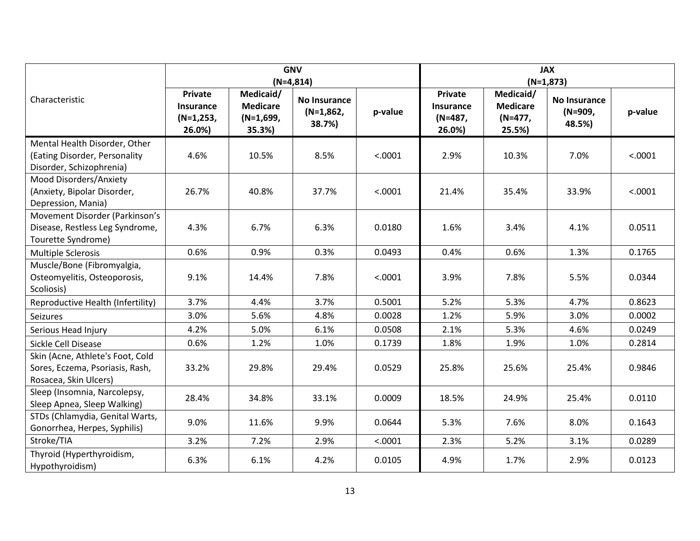|                                                                                              |                                                             |                                                       | <b>GNV</b><br>$(N=4,814)$                    |         | <b>JAX</b><br>$(N=1,873)$                               |                                                     |                                          |         |
|----------------------------------------------------------------------------------------------|-------------------------------------------------------------|-------------------------------------------------------|----------------------------------------------|---------|---------------------------------------------------------|-----------------------------------------------------|------------------------------------------|---------|
| Characteristic                                                                               | <b>Private</b><br><b>Insurance</b><br>$(N=1,253,$<br>26.0%) | Medicaid/<br><b>Medicare</b><br>$(N=1,699,$<br>35.3%) | <b>No Insurance</b><br>$(N=1,862,$<br>38.7%) | p-value | <b>Private</b><br><b>Insurance</b><br>(N=487,<br>26.0%) | Medicaid/<br><b>Medicare</b><br>$(N=477,$<br>25.5%) | <b>No Insurance</b><br>(N=909,<br>48.5%) | p-value |
| Mental Health Disorder, Other<br>(Eating Disorder, Personality<br>Disorder, Schizophrenia)   | 4.6%                                                        | 10.5%                                                 | 8.5%                                         | < .0001 | 2.9%                                                    | 10.3%                                               | 7.0%                                     | < .0001 |
| Mood Disorders/Anxiety<br>(Anxiety, Bipolar Disorder,<br>Depression, Mania)                  | 26.7%                                                       | 40.8%                                                 | 37.7%                                        | < .0001 | 21.4%                                                   | 35.4%                                               | 33.9%                                    | < .0001 |
| Movement Disorder (Parkinson's<br>Disease, Restless Leg Syndrome,<br>Tourette Syndrome)      | 4.3%                                                        | 6.7%                                                  | 6.3%                                         | 0.0180  | 1.6%                                                    | 3.4%                                                | 4.1%                                     | 0.0511  |
| <b>Multiple Sclerosis</b>                                                                    | 0.6%                                                        | 0.9%                                                  | 0.3%                                         | 0.0493  | 0.4%                                                    | 0.6%                                                | 1.3%                                     | 0.1765  |
| Muscle/Bone (Fibromyalgia,<br>Osteomyelitis, Osteoporosis,<br>Scoliosis)                     | 9.1%                                                        | 14.4%                                                 | 7.8%                                         | < .0001 | 3.9%                                                    | 7.8%                                                | 5.5%                                     | 0.0344  |
| Reproductive Health (Infertility)                                                            | 3.7%                                                        | 4.4%                                                  | 3.7%                                         | 0.5001  | 5.2%                                                    | 5.3%                                                | 4.7%                                     | 0.8623  |
| <b>Seizures</b>                                                                              | 3.0%                                                        | 5.6%                                                  | 4.8%                                         | 0.0028  | 1.2%                                                    | 5.9%                                                | 3.0%                                     | 0.0002  |
| Serious Head Injury                                                                          | 4.2%                                                        | 5.0%                                                  | 6.1%                                         | 0.0508  | 2.1%                                                    | 5.3%                                                | 4.6%                                     | 0.0249  |
| Sickle Cell Disease                                                                          | 0.6%                                                        | 1.2%                                                  | 1.0%                                         | 0.1739  | 1.8%                                                    | 1.9%                                                | 1.0%                                     | 0.2814  |
| Skin (Acne, Athlete's Foot, Cold<br>Sores, Eczema, Psoriasis, Rash,<br>Rosacea, Skin Ulcers) | 33.2%                                                       | 29.8%                                                 | 29.4%                                        | 0.0529  | 25.8%                                                   | 25.6%                                               | 25.4%                                    | 0.9846  |
| Sleep (Insomnia, Narcolepsy,<br>Sleep Apnea, Sleep Walking)                                  | 28.4%                                                       | 34.8%                                                 | 33.1%                                        | 0.0009  | 18.5%                                                   | 24.9%                                               | 25.4%                                    | 0.0110  |
| STDs (Chlamydia, Genital Warts,<br>Gonorrhea, Herpes, Syphilis)                              | 9.0%                                                        | 11.6%                                                 | 9.9%                                         | 0.0644  | 5.3%                                                    | 7.6%                                                | 8.0%                                     | 0.1643  |
| Stroke/TIA                                                                                   | 3.2%                                                        | 7.2%                                                  | 2.9%                                         | < .0001 | 2.3%                                                    | 5.2%                                                | 3.1%                                     | 0.0289  |
| Thyroid (Hyperthyroidism,<br>Hypothyroidism)                                                 | 6.3%                                                        | 6.1%                                                  | 4.2%                                         | 0.0105  | 4.9%                                                    | 1.7%                                                | 2.9%                                     | 0.0123  |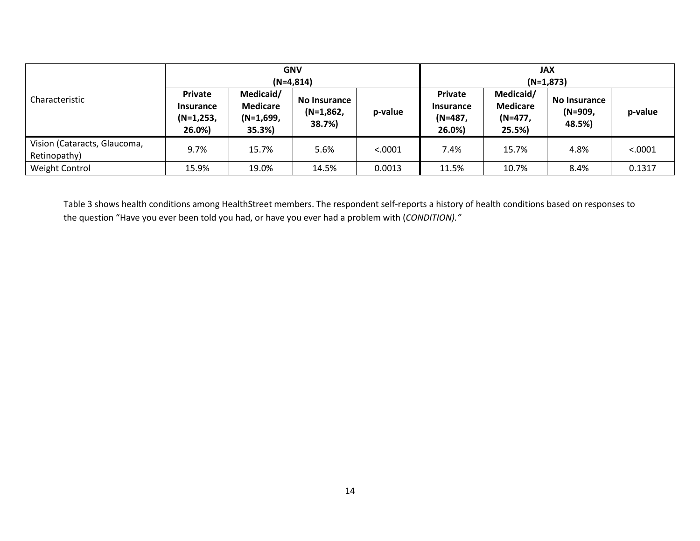| Characteristic                               |                                                             |                                                       | <b>GNV</b><br>$(N=4,814)$             |          | <b>JAX</b><br>$(N=1,873)$                               |                                                    |                                          |         |
|----------------------------------------------|-------------------------------------------------------------|-------------------------------------------------------|---------------------------------------|----------|---------------------------------------------------------|----------------------------------------------------|------------------------------------------|---------|
|                                              | <b>Private</b><br><b>Insurance</b><br>$(N=1,253,$<br>26.0%) | Medicaid/<br><b>Medicare</b><br>$(N=1,699)$<br>35.3%) | No Insurance<br>$(N=1,862,$<br>38.7%) | p-value  | <b>Private</b><br><b>Insurance</b><br>(N=487,<br>26.0%) | Medicaid/<br><b>Medicare</b><br>$(N=477)$<br>25.5% | <b>No Insurance</b><br>(N=909,<br>48.5%) | p-value |
| Vision (Cataracts, Glaucoma,<br>Retinopathy) | 9.7%                                                        | 15.7%                                                 | 5.6%                                  | < 0.0001 | 7.4%                                                    | 15.7%                                              | 4.8%                                     | < .0001 |
| Weight Control                               | 15.9%                                                       | 19.0%                                                 | 14.5%                                 | 0.0013   | 11.5%                                                   | 10.7%                                              | 8.4%                                     | 0.1317  |

Table 3 shows health conditions among HealthStreet members. The respondent self-reports a history of health conditions based on responses to the question "Have you ever been told you had, or have you ever had a problem with (*CONDITION)."*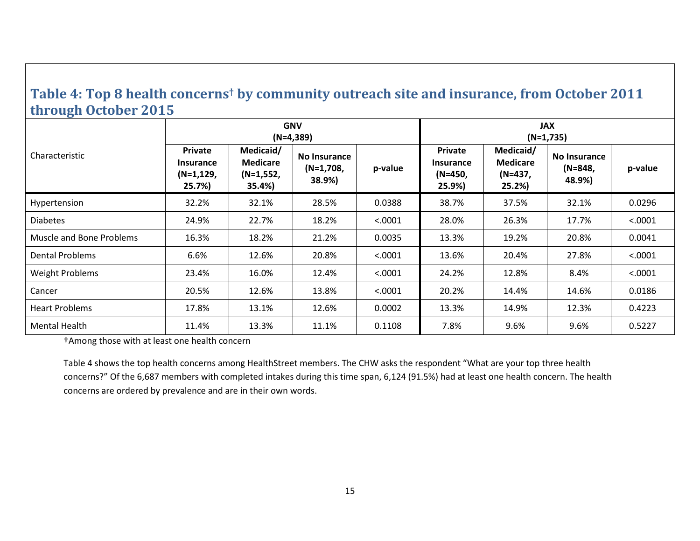#### **Table 4: Top 8 health concerns† by community outreach site and insurance, from October 2011 through October 2015**

<span id="page-14-0"></span>

|                          |                                                                |                                                       | <b>GNV</b><br>$(N=4,389)$             |         | <b>JAX</b><br>$(N=1,735)$                        |                                                  |                                     |         |  |
|--------------------------|----------------------------------------------------------------|-------------------------------------------------------|---------------------------------------|---------|--------------------------------------------------|--------------------------------------------------|-------------------------------------|---------|--|
| Characteristic           | <b>Private</b><br><b>Insurance</b><br>$(N=1, 129, )$<br>25.7%) | Medicaid/<br><b>Medicare</b><br>$(N=1,552)$<br>35.4%) | No Insurance<br>$(N=1,708,$<br>38.9%) | p-value | Private<br><b>Insurance</b><br>(N=450,<br>25.9%) | Medicaid/<br><b>Medicare</b><br>(N=437,<br>25.2% | No Insurance<br>$(N=848,$<br>48.9%) | p-value |  |
| Hypertension             | 32.2%                                                          | 32.1%                                                 | 28.5%                                 | 0.0388  | 38.7%                                            | 37.5%                                            | 32.1%                               | 0.0296  |  |
| <b>Diabetes</b>          | 24.9%                                                          | 22.7%                                                 | 18.2%                                 | < .0001 | 28.0%                                            | 26.3%                                            | 17.7%                               | < .0001 |  |
| Muscle and Bone Problems | 16.3%                                                          | 18.2%                                                 | 21.2%                                 | 0.0035  | 13.3%                                            | 19.2%                                            | 20.8%                               | 0.0041  |  |
| <b>Dental Problems</b>   | 6.6%                                                           | 12.6%                                                 | 20.8%                                 | < .0001 | 13.6%                                            | 20.4%                                            | 27.8%                               | < .0001 |  |
| <b>Weight Problems</b>   | 23.4%                                                          | 16.0%                                                 | 12.4%                                 | < .0001 | 24.2%                                            | 12.8%                                            | 8.4%                                | < .0001 |  |
| Cancer                   | 20.5%                                                          | 12.6%                                                 | 13.8%                                 | < .0001 | 20.2%                                            | 14.4%                                            | 14.6%                               | 0.0186  |  |
| <b>Heart Problems</b>    | 17.8%                                                          | 13.1%                                                 | 12.6%                                 | 0.0002  | 13.3%                                            | 14.9%                                            | 12.3%                               | 0.4223  |  |
| Mental Health            | 11.4%                                                          | 13.3%                                                 | 11.1%                                 | 0.1108  | 7.8%                                             | 9.6%                                             | 9.6%                                | 0.5227  |  |

†Among those with at least one health concern

Table 4 shows the top health concerns among HealthStreet members. The CHW asks the respondent "What are your top three health concerns?" Of the 6,687 members with completed intakes during this time span, 6,124 (91.5%) had at least one health concern. The health concerns are ordered by prevalence and are in their own words.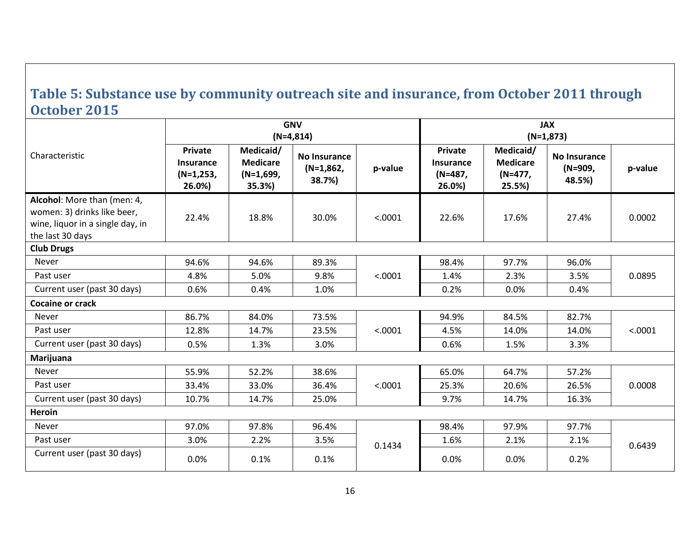#### **Table 5: Substance use by community outreach site and insurance, from October 2011 through October 2015**

<span id="page-15-0"></span>

|                                                                                                                    |                                                      |                                                       | <b>GNV</b><br>$(N=4,814)$                    |         | <b>JAX</b><br>$(N=1,873)$                        |                                                   |                                   |         |  |
|--------------------------------------------------------------------------------------------------------------------|------------------------------------------------------|-------------------------------------------------------|----------------------------------------------|---------|--------------------------------------------------|---------------------------------------------------|-----------------------------------|---------|--|
| Characteristic                                                                                                     | Private<br><b>Insurance</b><br>$(N=1,253,$<br>26.0%) | Medicaid/<br><b>Medicare</b><br>$(N=1,699)$<br>35.3%) | <b>No Insurance</b><br>$(N=1,862,$<br>38.7%) | p-value | Private<br><b>Insurance</b><br>(N=487,<br>26.0%) | Medicaid/<br><b>Medicare</b><br>(N=477,<br>25.5%) | No Insurance<br>(N=909,<br>48.5%) | p-value |  |
| Alcohol: More than (men: 4,<br>women: 3) drinks like beer,<br>wine, liquor in a single day, in<br>the last 30 days | 22.4%                                                | 18.8%                                                 | 30.0%                                        | < .0001 | 22.6%                                            | 17.6%                                             | 27.4%                             | 0.0002  |  |
| <b>Club Drugs</b>                                                                                                  |                                                      |                                                       |                                              |         |                                                  |                                                   |                                   |         |  |
| Never                                                                                                              | 94.6%                                                | 94.6%                                                 | 89.3%                                        |         | 98.4%                                            | 97.7%                                             | 96.0%                             |         |  |
| Past user                                                                                                          | 4.8%                                                 | 5.0%                                                  | 9.8%                                         | < .0001 | 1.4%                                             | 2.3%                                              | 3.5%                              | 0.0895  |  |
| Current user (past 30 days)                                                                                        | 0.6%                                                 | 0.4%                                                  | 1.0%                                         |         | 0.2%                                             | 0.0%                                              | 0.4%                              |         |  |
| Cocaine or crack                                                                                                   |                                                      |                                                       |                                              |         |                                                  |                                                   |                                   |         |  |
| <b>Never</b>                                                                                                       | 86.7%                                                | 84.0%                                                 | 73.5%                                        |         | 94.9%                                            | 84.5%                                             | 82.7%                             |         |  |
| Past user                                                                                                          | 12.8%                                                | 14.7%                                                 | 23.5%                                        | < .0001 | 4.5%                                             | 14.0%                                             | 14.0%                             | < .0001 |  |
| Current user (past 30 days)                                                                                        | 0.5%                                                 | 1.3%                                                  | 3.0%                                         |         | 0.6%                                             | 1.5%                                              | 3.3%                              |         |  |
| Marijuana                                                                                                          |                                                      |                                                       |                                              |         |                                                  |                                                   |                                   |         |  |
| Never                                                                                                              | 55.9%                                                | 52.2%                                                 | 38.6%                                        |         | 65.0%                                            | 64.7%                                             | 57.2%                             |         |  |
| Past user                                                                                                          | 33.4%                                                | 33.0%                                                 | 36.4%                                        | < .0001 | 25.3%                                            | 20.6%                                             | 26.5%                             | 0.0008  |  |
| Current user (past 30 days)                                                                                        | 10.7%                                                | 14.7%                                                 | 25.0%                                        |         | 9.7%                                             | 14.7%                                             | 16.3%                             |         |  |
| Heroin                                                                                                             |                                                      |                                                       |                                              |         |                                                  |                                                   |                                   |         |  |
| <b>Never</b>                                                                                                       | 97.0%                                                | 97.8%                                                 | 96.4%                                        |         | 98.4%                                            | 97.9%                                             | 97.7%                             |         |  |
| Past user                                                                                                          | 3.0%                                                 | 2.2%                                                  | 3.5%                                         | 0.1434  | 1.6%                                             | 2.1%                                              | 2.1%                              | 0.6439  |  |
| Current user (past 30 days)                                                                                        | 0.0%                                                 | 0.1%                                                  | 0.1%                                         |         | $0.0\%$                                          | 0.0%                                              | 0.2%                              |         |  |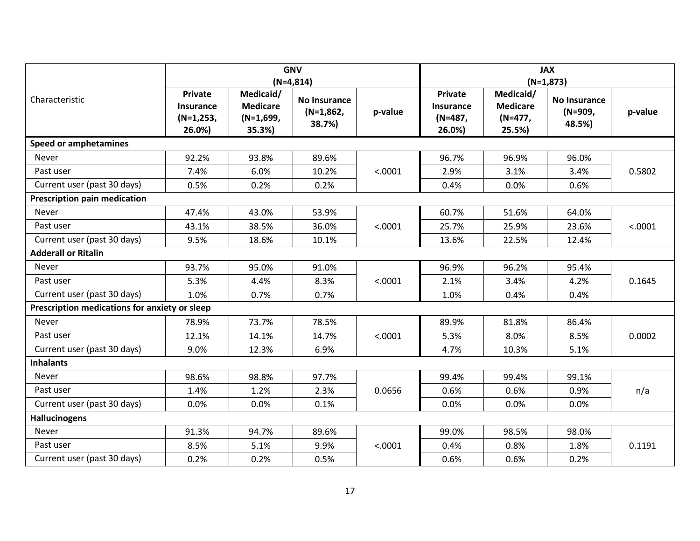|                                               |                                                      |                                                       | <b>GNV</b><br>$(N=4,814)$                    |         | <b>JAX</b><br>$(N=1,873)$                               |                                                     |                                          |         |  |
|-----------------------------------------------|------------------------------------------------------|-------------------------------------------------------|----------------------------------------------|---------|---------------------------------------------------------|-----------------------------------------------------|------------------------------------------|---------|--|
| Characteristic                                | Private<br><b>Insurance</b><br>$(N=1,253,$<br>26.0%) | Medicaid/<br><b>Medicare</b><br>$(N=1,699,$<br>35.3%) | <b>No Insurance</b><br>$(N=1,862,$<br>38.7%) | p-value | <b>Private</b><br><b>Insurance</b><br>(N=487,<br>26.0%) | Medicaid/<br><b>Medicare</b><br>$(N=477,$<br>25.5%) | <b>No Insurance</b><br>(N=909,<br>48.5%) | p-value |  |
| <b>Speed or amphetamines</b>                  |                                                      |                                                       |                                              |         |                                                         |                                                     |                                          |         |  |
| Never                                         | 92.2%                                                | 93.8%                                                 | 89.6%                                        |         | 96.7%                                                   | 96.9%                                               | 96.0%                                    |         |  |
| Past user                                     | 7.4%                                                 | 6.0%                                                  | 10.2%                                        | < .0001 | 2.9%                                                    | 3.1%                                                | 3.4%                                     | 0.5802  |  |
| Current user (past 30 days)                   | 0.5%                                                 | 0.2%                                                  | 0.2%                                         |         | 0.4%                                                    | 0.0%                                                | 0.6%                                     |         |  |
| <b>Prescription pain medication</b>           |                                                      |                                                       |                                              |         |                                                         |                                                     |                                          |         |  |
| Never                                         | 47.4%                                                | 43.0%                                                 | 53.9%                                        |         | 60.7%                                                   | 51.6%                                               | 64.0%                                    |         |  |
| Past user                                     | 43.1%                                                | 38.5%                                                 | 36.0%                                        | < .0001 | 25.7%                                                   | 25.9%                                               | 23.6%                                    | < .0001 |  |
| Current user (past 30 days)                   | 9.5%                                                 | 18.6%                                                 | 10.1%                                        |         | 13.6%                                                   | 22.5%                                               | 12.4%                                    |         |  |
| <b>Adderall or Ritalin</b>                    |                                                      |                                                       |                                              |         |                                                         |                                                     |                                          |         |  |
| Never                                         | 93.7%                                                | 95.0%                                                 | 91.0%                                        |         | 96.9%                                                   | 96.2%                                               | 95.4%                                    |         |  |
| Past user                                     | 5.3%                                                 | 4.4%                                                  | 8.3%                                         | < .0001 | 2.1%                                                    | 3.4%                                                | 4.2%                                     | 0.1645  |  |
| Current user (past 30 days)                   | 1.0%                                                 | 0.7%                                                  | 0.7%                                         |         | 1.0%                                                    | 0.4%                                                | 0.4%                                     |         |  |
| Prescription medications for anxiety or sleep |                                                      |                                                       |                                              |         |                                                         |                                                     |                                          |         |  |
| Never                                         | 78.9%                                                | 73.7%                                                 | 78.5%                                        |         | 89.9%                                                   | 81.8%                                               | 86.4%                                    |         |  |
| Past user                                     | 12.1%                                                | 14.1%                                                 | 14.7%                                        | < .0001 | 5.3%                                                    | 8.0%                                                | 8.5%                                     | 0.0002  |  |
| Current user (past 30 days)                   | 9.0%                                                 | 12.3%                                                 | 6.9%                                         |         | 4.7%                                                    | 10.3%                                               | 5.1%                                     |         |  |
| <b>Inhalants</b>                              |                                                      |                                                       |                                              |         |                                                         |                                                     |                                          |         |  |
| Never                                         | 98.6%                                                | 98.8%                                                 | 97.7%                                        |         | 99.4%                                                   | 99.4%                                               | 99.1%                                    |         |  |
| Past user                                     | 1.4%                                                 | 1.2%                                                  | 2.3%                                         | 0.0656  | 0.6%                                                    | 0.6%                                                | 0.9%                                     | n/a     |  |
| Current user (past 30 days)                   | 0.0%                                                 | 0.0%                                                  | 0.1%                                         |         | 0.0%                                                    | 0.0%                                                | 0.0%                                     |         |  |
| <b>Hallucinogens</b>                          |                                                      |                                                       |                                              |         |                                                         |                                                     |                                          |         |  |
| Never                                         | 91.3%                                                | 94.7%                                                 | 89.6%                                        |         | 99.0%                                                   | 98.5%                                               | 98.0%                                    |         |  |
| Past user                                     | 8.5%                                                 | 5.1%                                                  | 9.9%                                         | < .0001 | 0.4%                                                    | 0.8%                                                | 1.8%                                     | 0.1191  |  |
| Current user (past 30 days)                   | 0.2%                                                 | 0.2%                                                  | 0.5%                                         |         | 0.6%                                                    | 0.6%                                                | 0.2%                                     |         |  |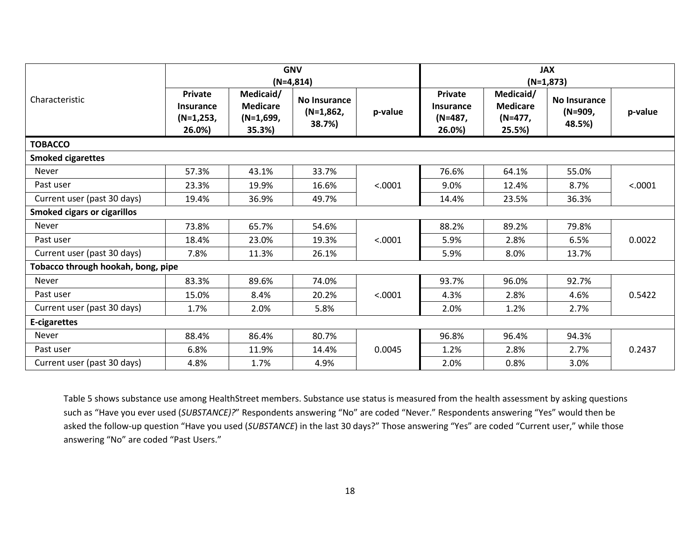|                                    |                                               |                                                     | <b>GNV</b><br>$(N=4,814)$                    |         | <b>JAX</b><br>$(N=1,873)$                 |                                                   |                                          |         |  |
|------------------------------------|-----------------------------------------------|-----------------------------------------------------|----------------------------------------------|---------|-------------------------------------------|---------------------------------------------------|------------------------------------------|---------|--|
| Characteristic                     | Private<br>Insurance<br>$(N=1,253,$<br>26.0%) | Medicaid/<br><b>Medicare</b><br>(N=1,699,<br>35.3%) | <b>No Insurance</b><br>$(N=1,862,$<br>38.7%) | p-value | Private<br>Insurance<br>(N=487,<br>26.0%) | Medicaid/<br><b>Medicare</b><br>(N=477,<br>25.5%) | <b>No Insurance</b><br>(N=909,<br>48.5%) | p-value |  |
| <b>TOBACCO</b>                     |                                               |                                                     |                                              |         |                                           |                                                   |                                          |         |  |
| <b>Smoked cigarettes</b>           |                                               |                                                     |                                              |         |                                           |                                                   |                                          |         |  |
| Never                              | 57.3%                                         | 43.1%                                               | 33.7%                                        |         | 76.6%                                     | 64.1%                                             | 55.0%                                    |         |  |
| Past user                          | 23.3%                                         | 19.9%                                               | 16.6%                                        | < .0001 | 9.0%                                      | 12.4%                                             | 8.7%                                     | < .0001 |  |
| Current user (past 30 days)        | 19.4%                                         | 36.9%                                               | 49.7%                                        |         | 14.4%                                     | 23.5%                                             | 36.3%                                    |         |  |
| <b>Smoked cigars or cigarillos</b> |                                               |                                                     |                                              |         |                                           |                                                   |                                          |         |  |
| <b>Never</b>                       | 73.8%                                         | 65.7%                                               | 54.6%                                        |         | 88.2%                                     | 89.2%                                             | 79.8%                                    |         |  |
| Past user                          | 18.4%                                         | 23.0%                                               | 19.3%                                        | < .0001 | 5.9%                                      | 2.8%                                              | 6.5%                                     | 0.0022  |  |
| Current user (past 30 days)        | 7.8%                                          | 11.3%                                               | 26.1%                                        |         | 5.9%                                      | 8.0%                                              | 13.7%                                    |         |  |
| Tobacco through hookah, bong, pipe |                                               |                                                     |                                              |         |                                           |                                                   |                                          |         |  |
| <b>Never</b>                       | 83.3%                                         | 89.6%                                               | 74.0%                                        |         | 93.7%                                     | 96.0%                                             | 92.7%                                    |         |  |
| Past user                          | 15.0%                                         | 8.4%                                                | 20.2%                                        | < .0001 | 4.3%                                      | 2.8%                                              | 4.6%                                     | 0.5422  |  |
| Current user (past 30 days)        | 1.7%                                          | 2.0%                                                | 5.8%                                         |         | 2.0%                                      | 1.2%                                              | 2.7%                                     |         |  |
| <b>E-cigarettes</b>                |                                               |                                                     |                                              |         |                                           |                                                   |                                          |         |  |
| Never                              | 88.4%                                         | 86.4%                                               | 80.7%                                        |         | 96.8%                                     | 96.4%                                             | 94.3%                                    |         |  |
| Past user                          | 6.8%                                          | 11.9%                                               | 14.4%                                        | 0.0045  | 1.2%                                      | 2.8%                                              | 2.7%                                     | 0.2437  |  |
| Current user (past 30 days)        | 4.8%                                          | 1.7%                                                | 4.9%                                         |         | 2.0%                                      | 0.8%                                              | 3.0%                                     |         |  |

Table 5 shows substance use among HealthStreet members. Substance use status is measured from the health assessment by asking questions such as "Have you ever used (*SUBSTANCE)?*" Respondents answering "No" are coded "Never." Respondents answering "Yes" would then be asked the follow-up question "Have you used (*SUBSTANCE*) in the last 30 days?" Those answering "Yes" are coded "Current user," while those answering "No" are coded "Past Users."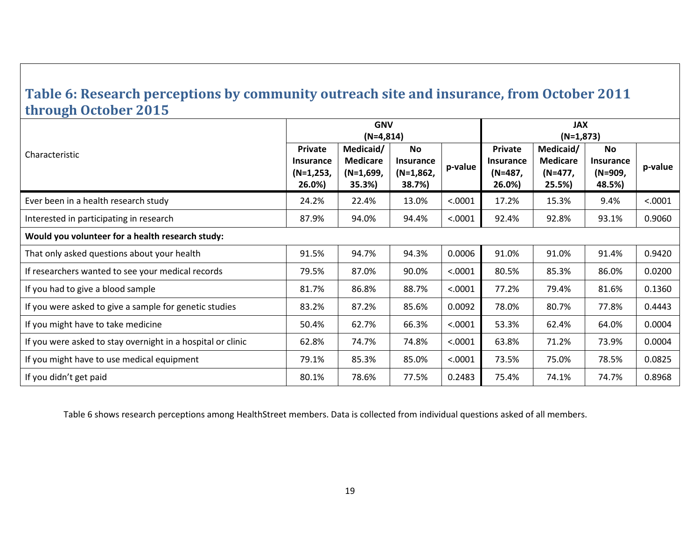#### **Table 6: Research perceptions by community outreach site and insurance, from October 2011 through October 2015**

<span id="page-18-0"></span>

|                                                             | <b>GNV</b><br>$(N=4,814)$                     |                                                       |                                                        |         | <b>JAX</b><br>$(N=1,873)$                 |                                                   |                                             |         |  |  |  |
|-------------------------------------------------------------|-----------------------------------------------|-------------------------------------------------------|--------------------------------------------------------|---------|-------------------------------------------|---------------------------------------------------|---------------------------------------------|---------|--|--|--|
| Characteristic                                              | Private<br>Insurance<br>$(N=1,253,$<br>26.0%) | Medicaid/<br><b>Medicare</b><br>$(N=1,699,$<br>35.3%) | <b>No</b><br><b>Insurance</b><br>$(N=1,862,$<br>38.7%) | p-value | Private<br>Insurance<br>(N=487,<br>26.0%) | Medicaid/<br><b>Medicare</b><br>(N=477,<br>25.5%) | <b>No</b><br>Insurance<br>(N=909,<br>48.5%) | p-value |  |  |  |
| Ever been in a health research study                        | 24.2%                                         | 22.4%                                                 | 13.0%                                                  | < .0001 | 17.2%                                     | 15.3%                                             | 9.4%                                        | < .0001 |  |  |  |
| Interested in participating in research                     | 87.9%                                         | 94.0%                                                 | 94.4%                                                  | < .0001 | 92.4%                                     | 92.8%                                             | 93.1%                                       | 0.9060  |  |  |  |
| Would you volunteer for a health research study:            |                                               |                                                       |                                                        |         |                                           |                                                   |                                             |         |  |  |  |
| That only asked questions about your health                 | 91.5%                                         | 94.7%                                                 | 94.3%                                                  | 0.0006  | 91.0%                                     | 91.0%                                             | 91.4%                                       | 0.9420  |  |  |  |
| If researchers wanted to see your medical records           | 79.5%                                         | 87.0%                                                 | 90.0%                                                  | < .0001 | 80.5%                                     | 85.3%                                             | 86.0%                                       | 0.0200  |  |  |  |
| If you had to give a blood sample                           | 81.7%                                         | 86.8%                                                 | 88.7%                                                  | < .0001 | 77.2%                                     | 79.4%                                             | 81.6%                                       | 0.1360  |  |  |  |
| If you were asked to give a sample for genetic studies      | 83.2%                                         | 87.2%                                                 | 85.6%                                                  | 0.0092  | 78.0%                                     | 80.7%                                             | 77.8%                                       | 0.4443  |  |  |  |
| If you might have to take medicine                          | 50.4%                                         | 62.7%                                                 | 66.3%                                                  | < .0001 | 53.3%                                     | 62.4%                                             | 64.0%                                       | 0.0004  |  |  |  |
| If you were asked to stay overnight in a hospital or clinic | 62.8%                                         | 74.7%                                                 | 74.8%                                                  | < .0001 | 63.8%                                     | 71.2%                                             | 73.9%                                       | 0.0004  |  |  |  |
| If you might have to use medical equipment                  | 79.1%                                         | 85.3%                                                 | 85.0%                                                  | < .0001 | 73.5%                                     | 75.0%                                             | 78.5%                                       | 0.0825  |  |  |  |
| If you didn't get paid                                      | 80.1%                                         | 78.6%                                                 | 77.5%                                                  | 0.2483  | 75.4%                                     | 74.1%                                             | 74.7%                                       | 0.8968  |  |  |  |

Table 6 shows research perceptions among HealthStreet members. Data is collected from individual questions asked of all members.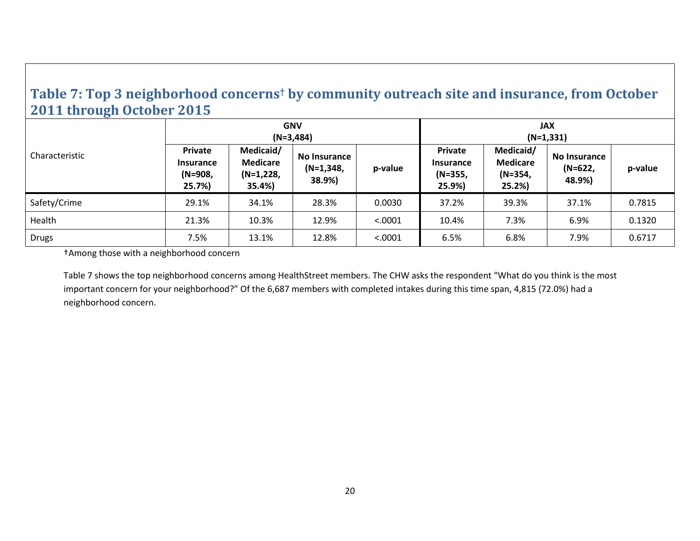#### **Table 7: Top 3 neighborhood concerns† by community outreach site and insurance, from October 2011 through October 2015**

| __<br>Characteristic | <b>GNV</b><br>$(N=3,484)$                        |                                                       |                                              |         | <b>JAX</b><br>$(N=1,331)$                          |                                                  |                                          |         |  |
|----------------------|--------------------------------------------------|-------------------------------------------------------|----------------------------------------------|---------|----------------------------------------------------|--------------------------------------------------|------------------------------------------|---------|--|
|                      | Private<br><b>Insurance</b><br>(N=908,<br>25.7%) | Medicaid/<br><b>Medicare</b><br>$(N=1,228,$<br>35.4%) | <b>No Insurance</b><br>$(N=1,348,$<br>38.9%) | p-value | <b>Private</b><br>Insurance<br>$(N=355,$<br>25.9%) | Medicaid/<br><b>Medicare</b><br>(N=354,<br>25.2% | <b>No Insurance</b><br>(N=622,<br>48.9%) | p-value |  |
| Safety/Crime         | 29.1%                                            | 34.1%                                                 | 28.3%                                        | 0.0030  | 37.2%                                              | 39.3%                                            | 37.1%                                    | 0.7815  |  |
| Health               | 21.3%                                            | 10.3%                                                 | 12.9%                                        | < .0001 | 10.4%                                              | 7.3%                                             | 6.9%                                     | 0.1320  |  |
| Drugs                | 7.5%                                             | 13.1%                                                 | 12.8%                                        | < .0001 | 6.5%                                               | 6.8%                                             | 7.9%                                     | 0.6717  |  |

<span id="page-19-0"></span>†Among those with a neighborhood concern

Table 7 shows the top neighborhood concerns among HealthStreet members. The CHW asks the respondent "What do you think is the most important concern for your neighborhood?" Of the 6,687 members with completed intakes during this time span, 4,815 (72.0%) had a neighborhood concern.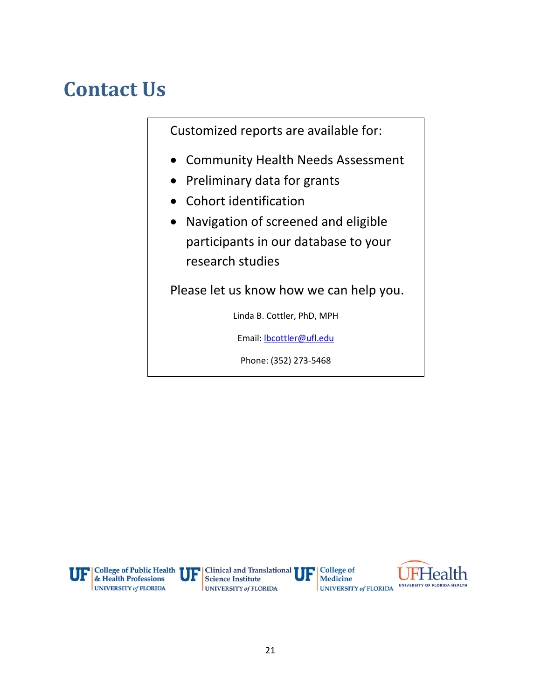# <span id="page-20-0"></span>**Contact Us**

Customized reports are available for:

- Community Health Needs Assessment
- Preliminary data for grants
- Cohort identification
- Navigation of screened and eligible participants in our database to your research studies

Please let us know how we can help you.

Linda B. Cottler, PhD, MPH

Email: [lbcottler@ufl.edu](mailto:lbcottler@ufl.edu)

Phone: (352) 273-5468